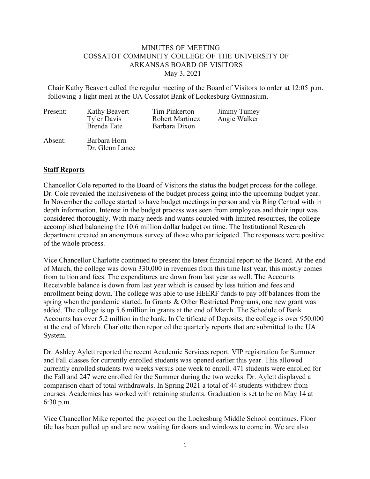## MINUTES OF MEETING COSSATOT COMMUNITY COLLEGE OF THE UNIVERSITY OF ARKANSAS BOARD OF VISITORS May 3, 2021

Chair Kathy Beavert called the regular meeting of the Board of Visitors to order at 12:05 p.m. following a light meal at the UA Cossatot Bank of Lockesburg Gymnasium.

| Present: | Kathy Beavert<br><b>Tyler Davis</b><br>Brenda Tate | Tim Pinkerton<br>Robert Martinez<br>Barbara Dixon | Jimmy Tumey<br>Angie Walker |
|----------|----------------------------------------------------|---------------------------------------------------|-----------------------------|
| Absent:  | Barbara Horn<br>Dr. Glenn Lance                    |                                                   |                             |

## **Staff Reports**

Chancellor Cole reported to the Board of Visitors the status the budget process for the college. Dr. Cole revealed the inclusiveness of the budget process going into the upcoming budget year. In November the college started to have budget meetings in person and via Ring Central with in depth information. Interest in the budget process was seen from employees and their input was considered thoroughly. With many needs and wants coupled with limited resources, the college accomplished balancing the 10.6 million dollar budget on time. The Institutional Research department created an anonymous survey of those who participated. The responses were positive of the whole process.

Vice Chancellor Charlotte continued to present the latest financial report to the Board. At the end of March, the college was down 330,000 in revenues from this time last year, this mostly comes from tuition and fees. The expenditures are down from last year as well. The Accounts Receivable balance is down from last year which is caused by less tuition and fees and enrollment being down. The college was able to use HEERF funds to pay off balances from the spring when the pandemic started. In Grants & Other Restricted Programs, one new grant was added. The college is up 5.6 million in grants at the end of March. The Schedule of Bank Accounts has over 5.2 million in the bank. In Certificate of Deposits, the college is over 950,000 at the end of March. Charlotte then reported the quarterly reports that are submitted to the UA System.

Dr. Ashley Aylett reported the recent Academic Services report. VIP registration for Summer and Fall classes for currently enrolled students was opened earlier this year. This allowed currently enrolled students two weeks versus one week to enroll. 471 students were enrolled for the Fall and 247 were enrolled for the Summer during the two weeks. Dr. Aylett displayed a comparison chart of total withdrawals. In Spring 2021 a total of 44 students withdrew from courses. Academics has worked with retaining students. Graduation is set to be on May 14 at 6:30 p.m.

Vice Chancellor Mike reported the project on the Lockesburg Middle School continues. Floor tile has been pulled up and are now waiting for doors and windows to come in. We are also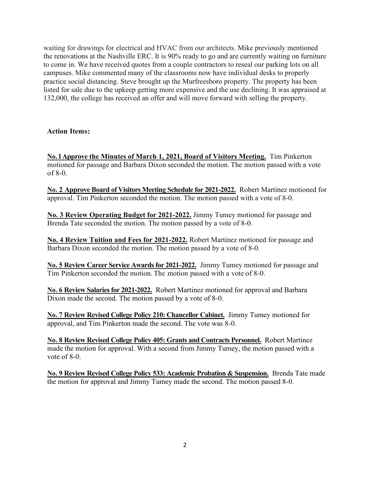waiting for drawings for electrical and HVAC from our architects. Mike previously mentioned the renovations at the Nashville ERC. It is 90% ready to go and are currently waiting on furniture to come in. We have received quotes from a couple contractors to reseal our parking lots on all campuses. Mike commented many of the classrooms now have individual desks to properly practice social distancing. Steve brought up the Murfreesboro property. The property has been listed for sale due to the upkeep getting more expensive and the use declining. It was appraised at 132,000, the college has received an offer and will move forward with selling the property.

## **Action Items:**

**No.1Approve the Minutes of March 1, 2021, Board of Visitors Meeting.** Tim Pinkerton motioned for passage and Barbara Dixon seconded the motion. The motion passed with a vote of 8-0.

**No. 2 Approve Board of Visitors Meeting Schedule for 2021-2022.** Robert Martinez motioned for approval. Tim Pinkerton seconded the motion. The motion passed with a vote of 8-0.

**No. 3 Review Operating Budget for 2021-2022.** Jimmy Tumey motioned for passage and Brenda Tate seconded the motion. The motion passed by a vote of 8-0.

**No. 4 Review Tuition and Fees for 2021-2022.** Robert Martinez motioned for passage and Barbara Dixon seconded the motion. The motion passed by a vote of 8-0.

**No. 5 Review Career Service Awards for 2021-2022.** Jimmy Tumey motioned for passage and Tim Pinkerton seconded the motion. The motion passed with a vote of 8-0.

No. 6 Review Salaries for 2021-2022. Robert Martinez motioned for approval and Barbara Dixon made the second. The motion passed by a vote of 8-0.

**No. 7 Review Revised College Policy 210: Chancellor Cabinet.** Jimmy Tumey motioned for approval, and Tim Pinkerton made the second. The vote was 8-0.

**No. 8 Review Revised College Policy 405: Grants and Contracts Personnel.** Robert Martinez made the motion for approval. With a second from Jimmy Tumey, the motion passed with a vote of 8-0.

**No. 9 Review Revised College Policy 533: Academic Probation & Suspension.** Brenda Tate made the motion for approval and Jimmy Tumey made the second. The motion passed 8-0.